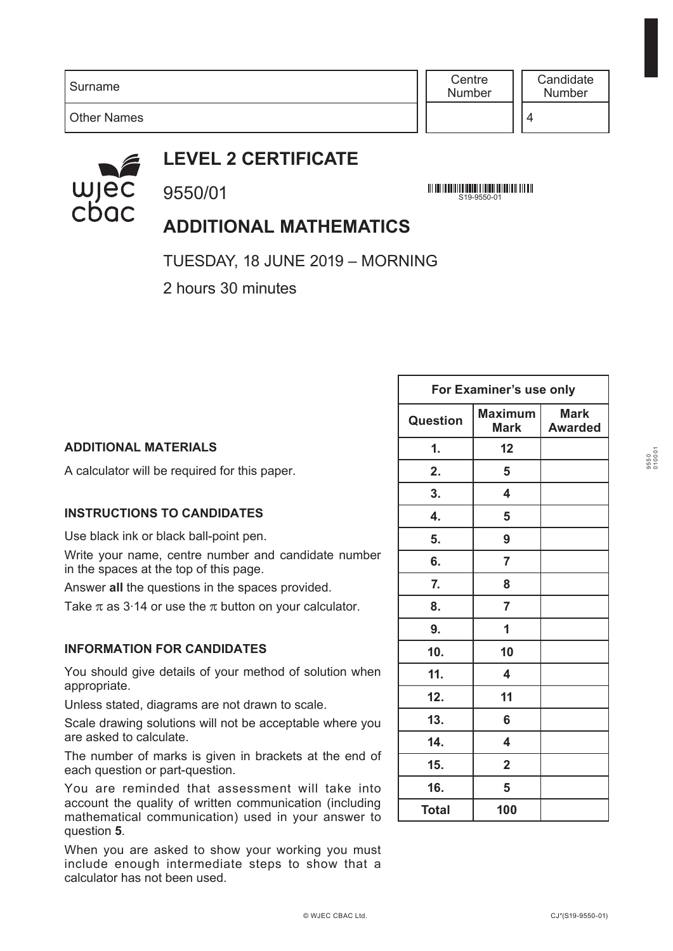**Centre** Number

4



Other Names

## **LEVEL 2 CERTIFICATE**

9550/01

<u> All an in de la latin de la componenta de la latin de la compo</u> S19-9550-01

## **ADDITIONAL MATHEMATICS**

TUESDAY, 18 JUNE 2019 – MORNING

2 hours 30 minutes

|                                                                                                                                        | For Examiner's use only |                               |                               |
|----------------------------------------------------------------------------------------------------------------------------------------|-------------------------|-------------------------------|-------------------------------|
|                                                                                                                                        | Question                | <b>Maximum</b><br><b>Mark</b> | <b>Mark</b><br><b>Awarded</b> |
| <b>ADDITIONAL MATERIALS</b>                                                                                                            | 1.                      | 12                            |                               |
| A calculator will be required for this paper.                                                                                          | 2.                      | 5                             |                               |
|                                                                                                                                        | 3.                      | 4                             |                               |
| <b>INSTRUCTIONS TO CANDIDATES</b>                                                                                                      | 4.                      | 5                             |                               |
| Use black ink or black ball-point pen.                                                                                                 | 5.                      | 9                             |                               |
| Write your name, centre number and candidate number<br>in the spaces at the top of this page.                                          | 6.                      | $\overline{7}$                |                               |
| Answer all the questions in the spaces provided.                                                                                       | 7.                      | 8                             |                               |
| Take $\pi$ as 3.14 or use the $\pi$ button on your calculator.                                                                         | 8.                      | $\overline{7}$                |                               |
|                                                                                                                                        | 9.                      | 1                             |                               |
| <b>INFORMATION FOR CANDIDATES</b>                                                                                                      | 10.                     | 10                            |                               |
| You should give details of your method of solution when<br>appropriate.                                                                | 11.                     | 4                             |                               |
| Unless stated, diagrams are not drawn to scale.                                                                                        | 12.                     | 11                            |                               |
| Scale drawing solutions will not be acceptable where you                                                                               | 13.                     | 6                             |                               |
| are asked to calculate.                                                                                                                | 14.                     | 4                             |                               |
| The number of marks is given in brackets at the end of<br>each question or part-question.                                              | 15.                     | $\overline{2}$                |                               |
| You are reminded that assessment will take into                                                                                        | 16.                     | 5                             |                               |
| account the quality of written communication (including<br>an and the activities of the access and the anti-sector and the first state | <b>Total</b>            | 100                           |                               |

When you are asked to show your working you must include enough intermediate steps to show that a calculator has not been used.

mathematical communication) used in your answer to

question **5***.*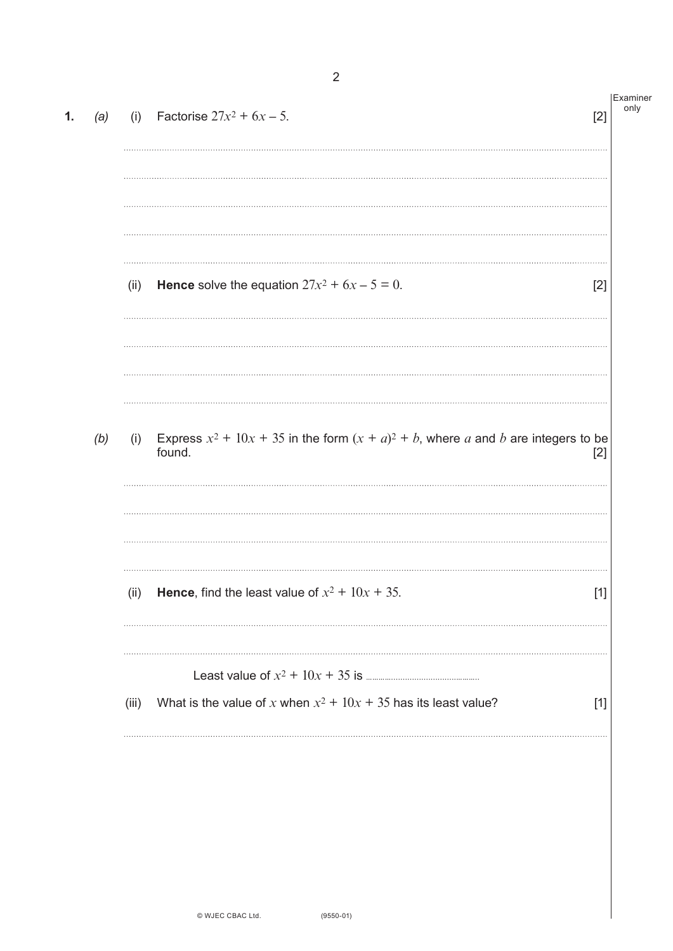| (a) | (i)   | Factorise $27x^2 + 6x - 5$ .<br>[2]                                                               | Examiner<br>only |
|-----|-------|---------------------------------------------------------------------------------------------------|------------------|
|     | (ii)  | <b>Hence</b> solve the equation $27x^2 + 6x - 5 = 0$ .                                            | $[2]$            |
| (b) | (i)   | Express $x^2 + 10x + 35$ in the form $(x + a)^2 + b$ , where a and b are integers to be<br>found. | $[2]$            |
|     | (ii)  | <b>Hence,</b> find the least value of $x^2 + 10x + 35$ .                                          | $[1]$            |
|     | (iii) | What is the value of x when $x^2 + 10x + 35$ has its least value?                                 | $[1]$            |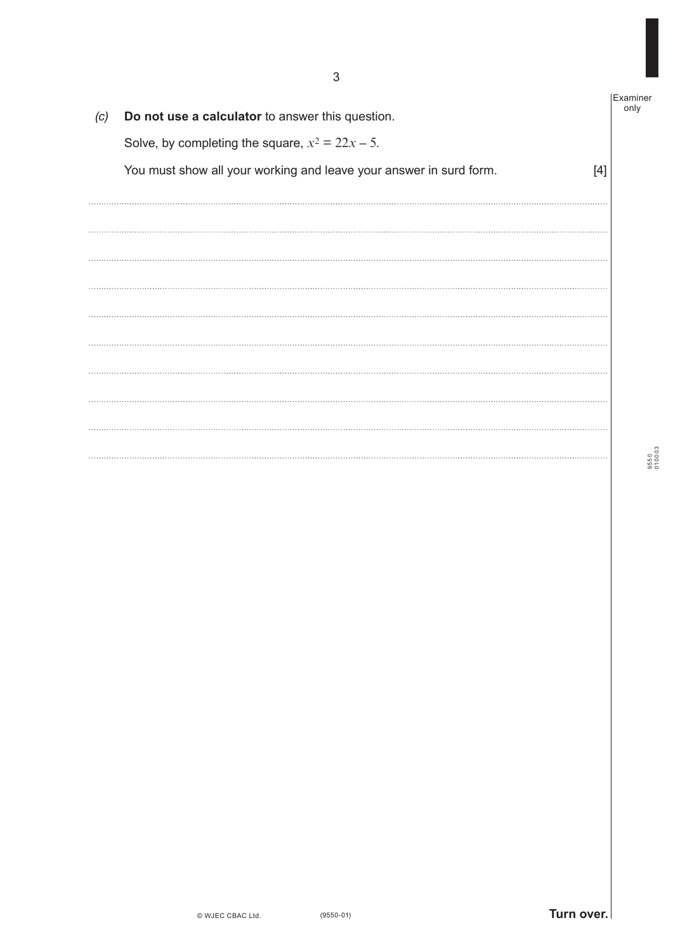Examiner only *(c)* **Do not use a calculator** to answer this question. Solve, by completing the square,  $x^2 = 22x - 5$ . You must show all your working and leave your answer in surd form. [4]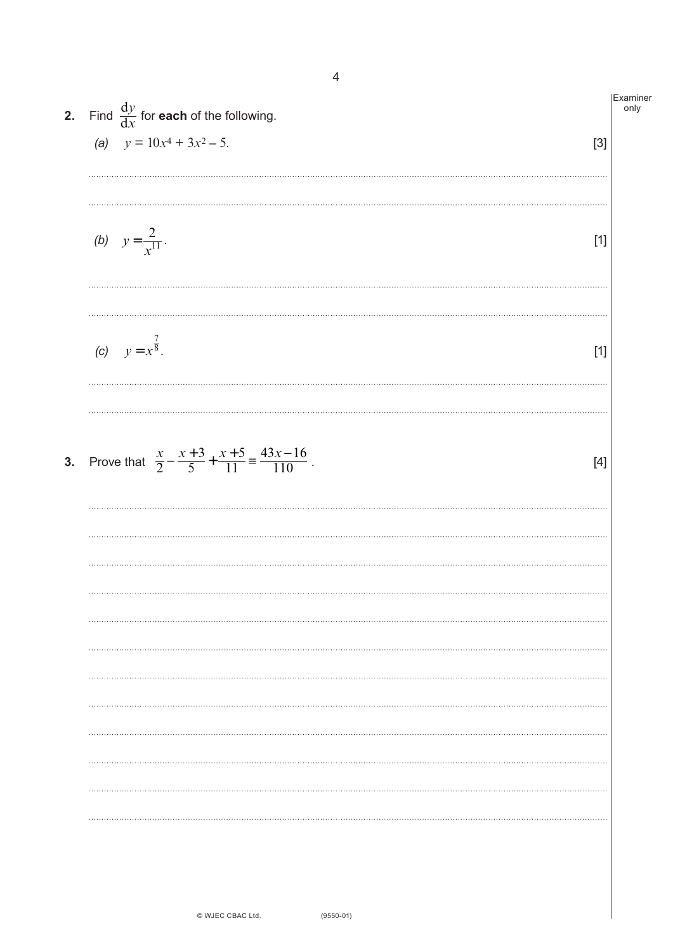| <b>2.</b> Find $\frac{dy}{dx}$ for <b>each</b> of the following.                             | Examiner<br>only |
|----------------------------------------------------------------------------------------------|------------------|
| (a) $y = 10x^4 + 3x^2 - 5$ .<br>$[3]$                                                        |                  |
| (b) $y = \frac{2}{x^{11}}$ .<br>$[1]$                                                        |                  |
|                                                                                              |                  |
| (c) $y = x^{\frac{7}{8}}$ .<br>$[1]$                                                         |                  |
| 3. Prove that $\frac{x}{2} - \frac{x+3}{5} + \frac{x+5}{11} = \frac{43x-16}{110}$ .<br>$[4]$ |                  |
|                                                                                              |                  |
|                                                                                              |                  |
|                                                                                              |                  |
|                                                                                              |                  |
|                                                                                              |                  |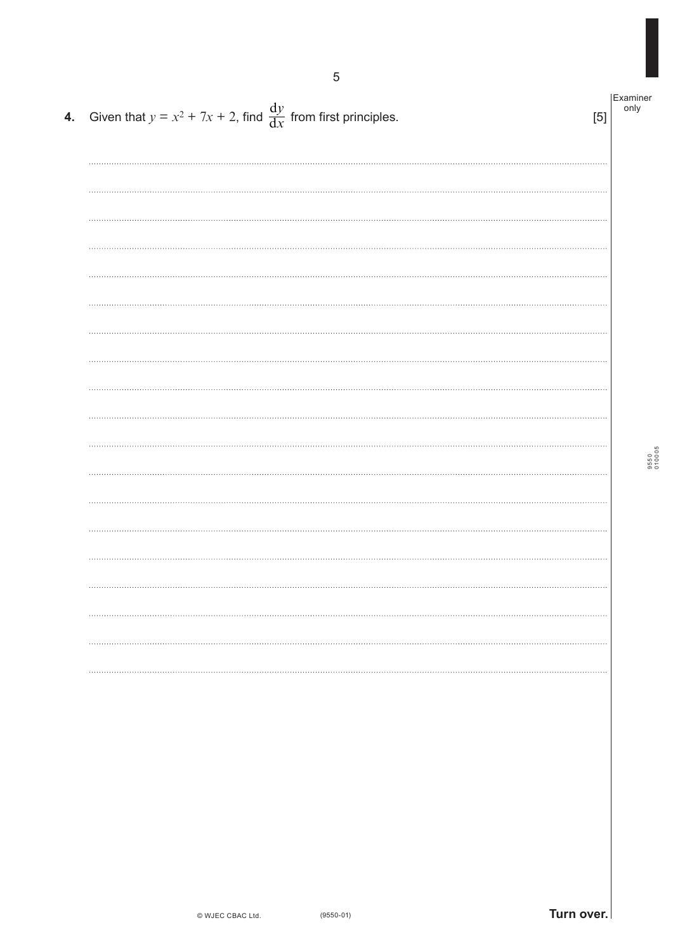| 4. Given that $y = x^2 + 7x + 2$ , find $\frac{dy}{dx}$ from first principles. | [5] | Examiner<br>only |
|--------------------------------------------------------------------------------|-----|------------------|
|                                                                                |     |                  |
|                                                                                |     |                  |
|                                                                                |     |                  |
|                                                                                |     |                  |
|                                                                                |     |                  |
|                                                                                |     |                  |
|                                                                                |     | 9550<br>010005   |
|                                                                                |     |                  |
|                                                                                |     |                  |
|                                                                                |     |                  |
|                                                                                |     |                  |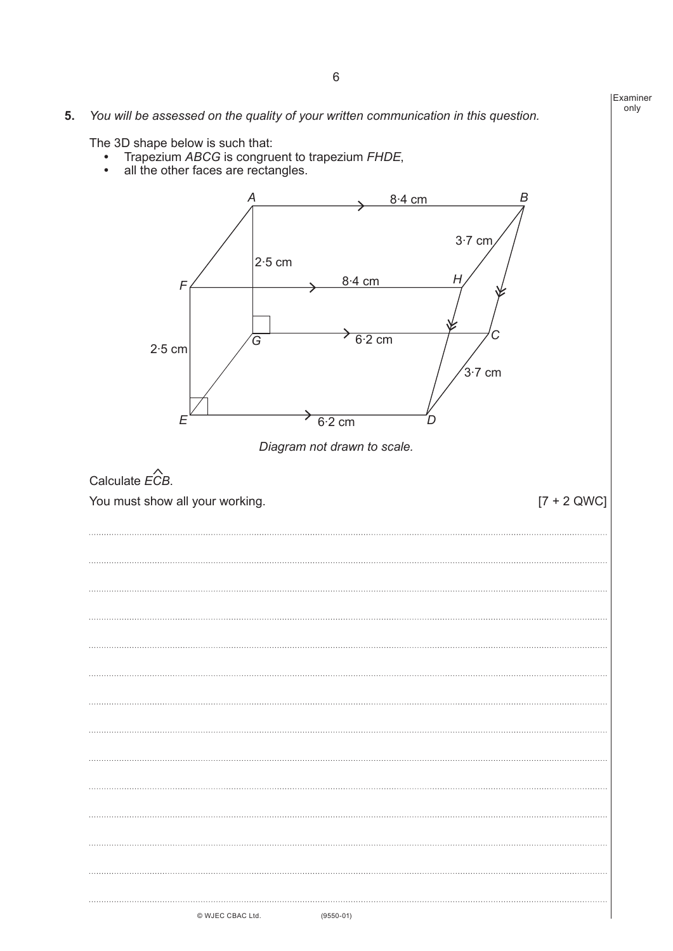## **5.** *You will be assessed on the quality of your written communication in this question.*

The 3D shape below is such that:

- **•** Trapezium *ABCG* is congruent to trapezium *FHDE*,
- **•** all the other faces are rectangles.

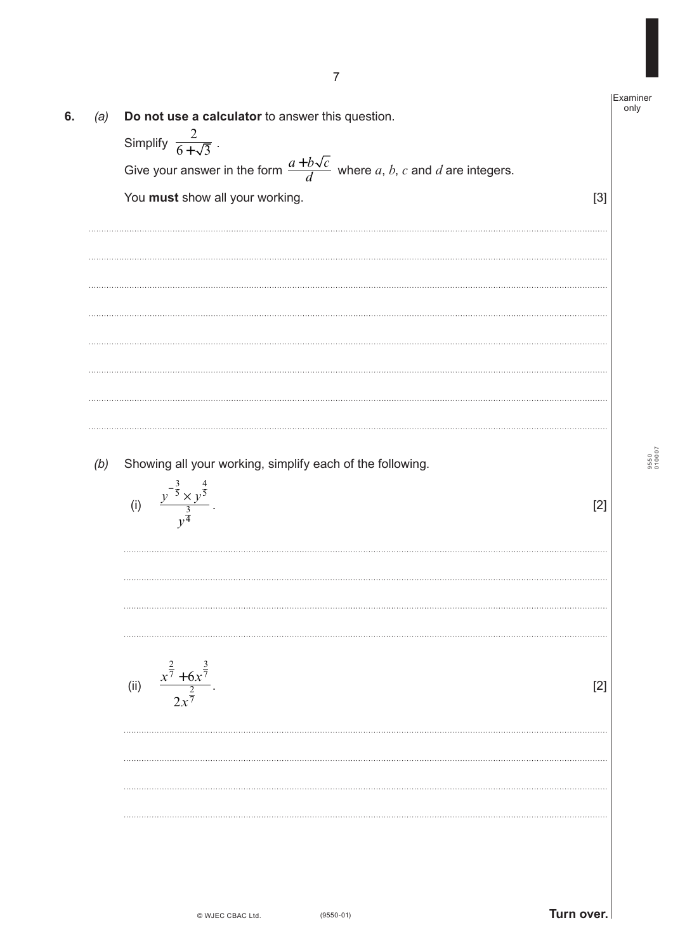| (a) | Do not use a calculator to answer this question.                                       |       | Examiner<br>only |
|-----|----------------------------------------------------------------------------------------|-------|------------------|
|     | Simplify $\frac{2}{6+\sqrt{3}}$ .                                                      |       |                  |
|     | Give your answer in the form $\frac{a+b\sqrt{c}}{d}$ where a, b, c and d are integers. |       |                  |
|     | You must show all your working.                                                        | $[3]$ |                  |
|     |                                                                                        |       |                  |
|     |                                                                                        |       |                  |
|     |                                                                                        |       |                  |
|     |                                                                                        |       |                  |
|     |                                                                                        |       |                  |
|     |                                                                                        |       |                  |
|     |                                                                                        |       |                  |
|     |                                                                                        |       |                  |
|     |                                                                                        |       |                  |
|     |                                                                                        |       |                  |
| (b) | Showing all your working, simplify each of the following.                              |       |                  |
|     | (i)                                                                                    | $[2]$ |                  |
|     | $\frac{y^{-\frac{3}{5}} \times y^{\frac{4}{5}}}{\frac{3}{4}}$                          |       |                  |
|     |                                                                                        |       |                  |
|     |                                                                                        |       |                  |
|     |                                                                                        |       |                  |
|     |                                                                                        |       |                  |
|     |                                                                                        |       |                  |
|     | (ii)                                                                                   | [2]   |                  |
|     | $\frac{x^{\frac{2}{7}}+6x^{\frac{3}{7}}}{2x^{\frac{2}{7}}}.$                           |       |                  |
|     |                                                                                        |       |                  |
|     |                                                                                        |       |                  |
|     |                                                                                        |       |                  |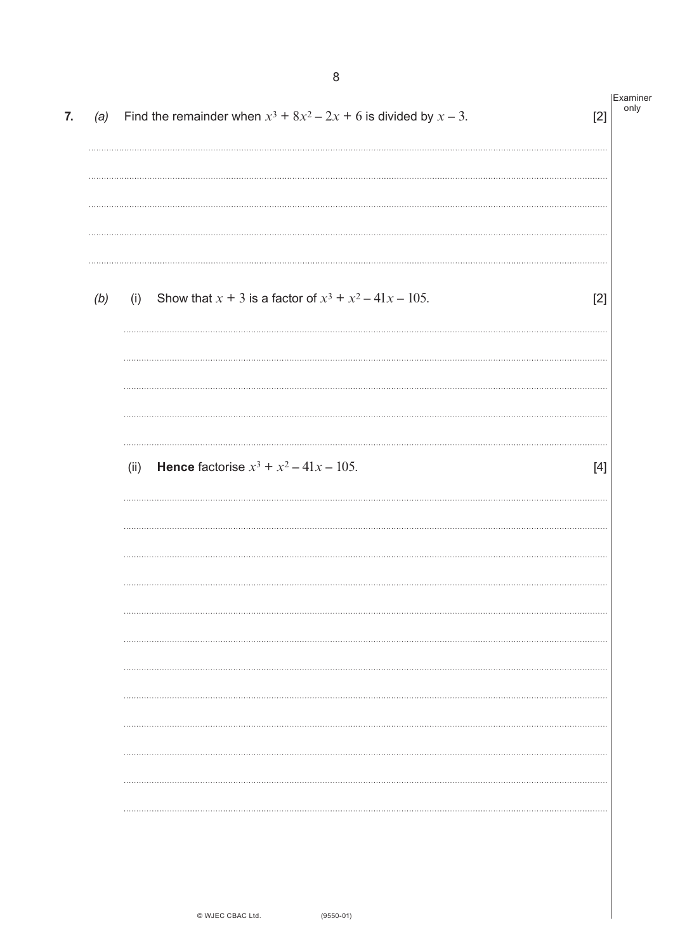| 7. | (a) | Find the remainder when $x^3 + 8x^2 - 2x + 6$ is divided by $x - 3$ .         | $[2]$ | Examiner<br>only |
|----|-----|-------------------------------------------------------------------------------|-------|------------------|
|    |     |                                                                               |       |                  |
|    |     |                                                                               |       |                  |
|    | (b) | Show that $x + 3$ is a factor of $x^3 + x^2 - 41x - 105$ .<br>(i)<br>$\cdots$ | $[2]$ |                  |
|    |     |                                                                               |       |                  |
|    |     | <b>Hence</b> factorise $x^3 + x^2 - 41x - 105$ .<br>(ii)                      | $[4]$ |                  |
|    |     |                                                                               |       |                  |
|    |     |                                                                               |       |                  |
|    |     |                                                                               |       |                  |
|    |     |                                                                               |       |                  |
|    |     |                                                                               |       |                  |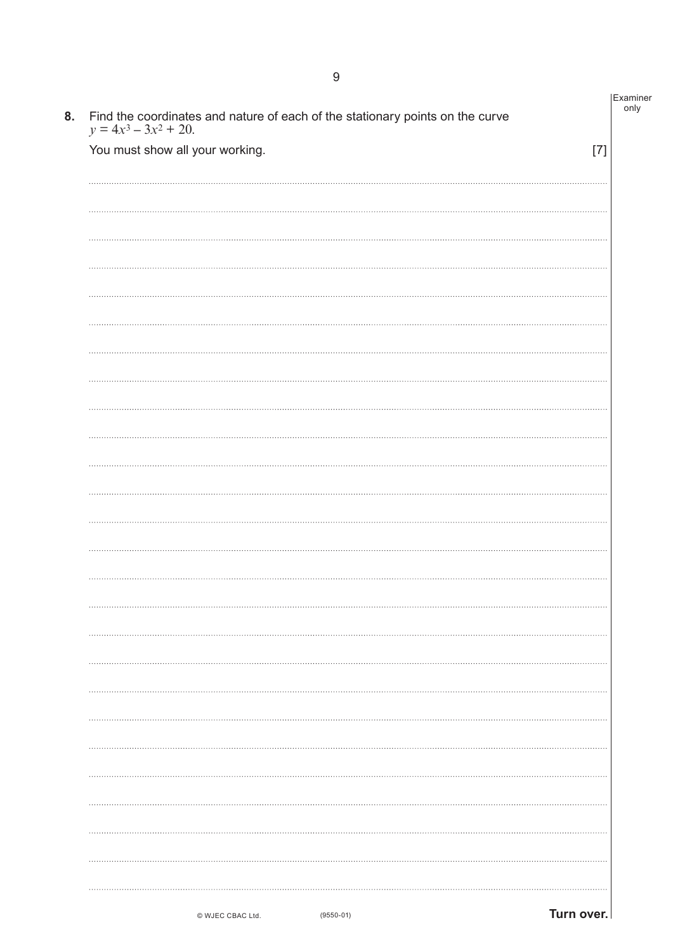| Find the coordinates and nature of each of the stationary points on the curve $y = 4x^3 - 3x^2 + 20$ . |       |
|--------------------------------------------------------------------------------------------------------|-------|
| You must show all your working.                                                                        | $[7]$ |
|                                                                                                        |       |
|                                                                                                        |       |
|                                                                                                        |       |
|                                                                                                        |       |
|                                                                                                        |       |
|                                                                                                        |       |
|                                                                                                        |       |
|                                                                                                        |       |
|                                                                                                        |       |
|                                                                                                        |       |
|                                                                                                        |       |
|                                                                                                        |       |
|                                                                                                        |       |
|                                                                                                        |       |
|                                                                                                        |       |
|                                                                                                        |       |
| .                                                                                                      |       |
|                                                                                                        |       |
|                                                                                                        |       |
|                                                                                                        |       |
|                                                                                                        |       |
|                                                                                                        |       |
|                                                                                                        |       |
|                                                                                                        |       |
|                                                                                                        |       |
|                                                                                                        |       |
|                                                                                                        |       |
|                                                                                                        |       |

© WJEC CBAC Ltd.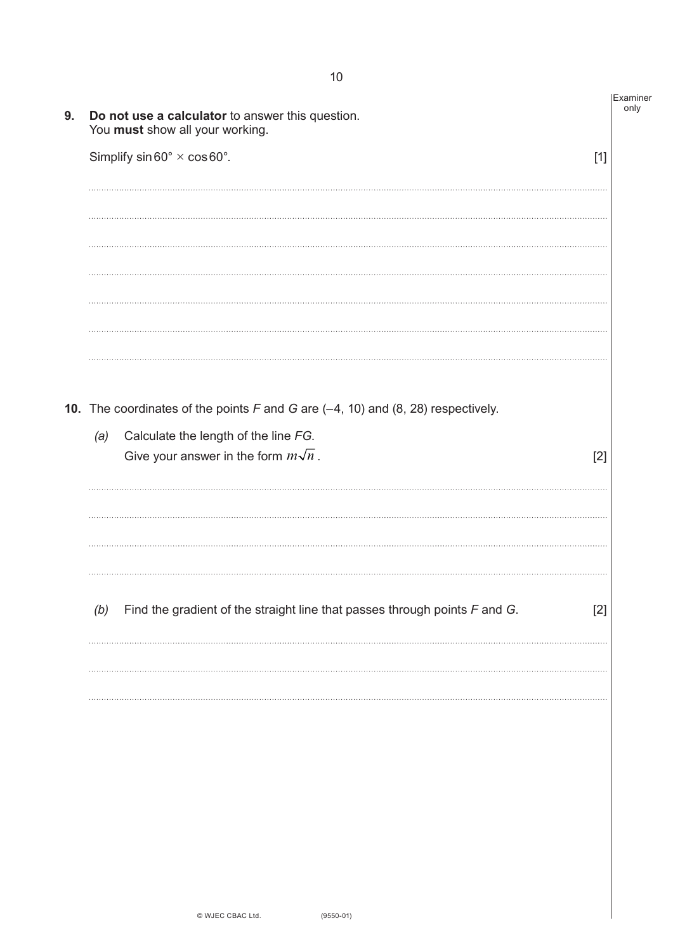| 9. | Do not use a calculator to answer this question.<br>You must show all your working.             | Examiner<br>only |  |
|----|-------------------------------------------------------------------------------------------------|------------------|--|
|    | Simplify $sin 60^\circ \times cos 60^\circ$ .                                                   | $[1]$            |  |
|    |                                                                                                 |                  |  |
|    |                                                                                                 |                  |  |
|    |                                                                                                 |                  |  |
|    |                                                                                                 |                  |  |
|    |                                                                                                 |                  |  |
|    | <b>10.</b> The coordinates of the points $F$ and $G$ are $(-4, 10)$ and $(8, 28)$ respectively. |                  |  |
|    | Calculate the length of the line FG.<br>(a)                                                     |                  |  |
|    | Give your answer in the form $m\sqrt{n}$ .                                                      | $[2]$            |  |
|    |                                                                                                 |                  |  |
|    |                                                                                                 |                  |  |
|    |                                                                                                 |                  |  |
|    | Find the gradient of the straight line that passes through points $F$ and $G$ .<br>(b)          | $[2]$            |  |
|    |                                                                                                 |                  |  |
|    |                                                                                                 |                  |  |
|    |                                                                                                 |                  |  |
|    |                                                                                                 |                  |  |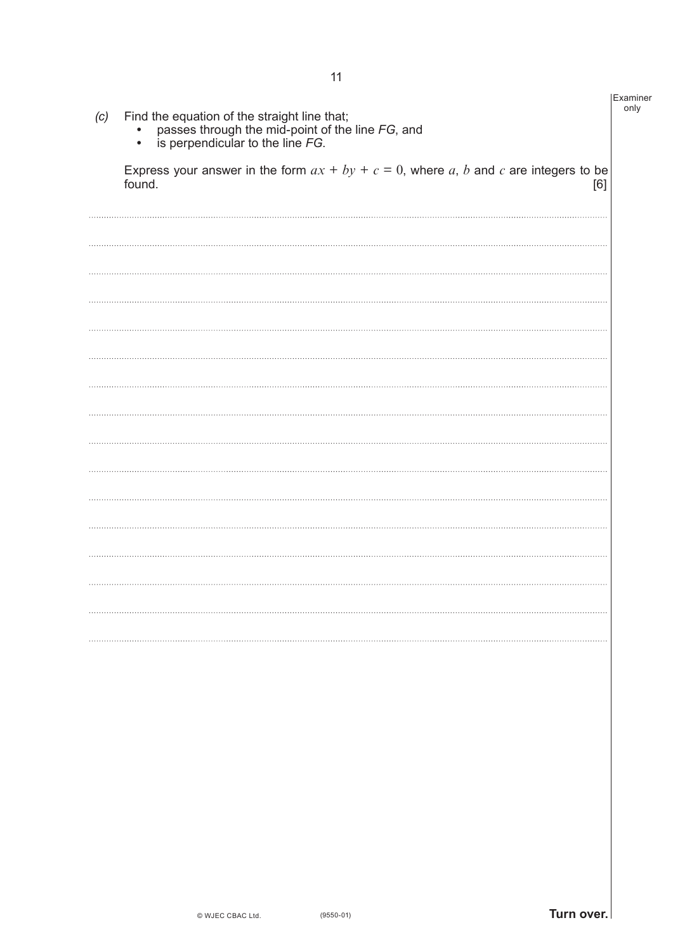| (c) | Find the equation of the straight line that;<br>passes through the mid-point of the line $FG$ , and<br>is perpendicular to the line $FG$ .<br>٠ | Examiner<br>only |
|-----|-------------------------------------------------------------------------------------------------------------------------------------------------|------------------|
|     | Express your answer in the form $ax + by + c = 0$ , where a, b and c are integers to be<br>found.<br>[6]                                        |                  |
|     |                                                                                                                                                 |                  |
|     |                                                                                                                                                 |                  |
|     |                                                                                                                                                 |                  |
|     |                                                                                                                                                 |                  |
|     |                                                                                                                                                 |                  |
|     |                                                                                                                                                 |                  |
|     |                                                                                                                                                 |                  |
|     |                                                                                                                                                 |                  |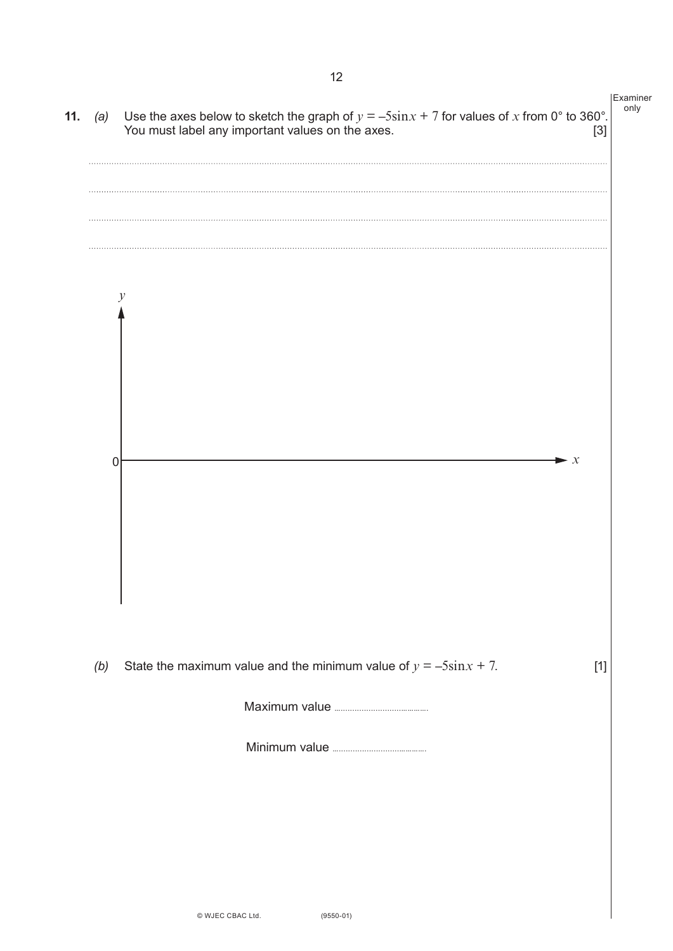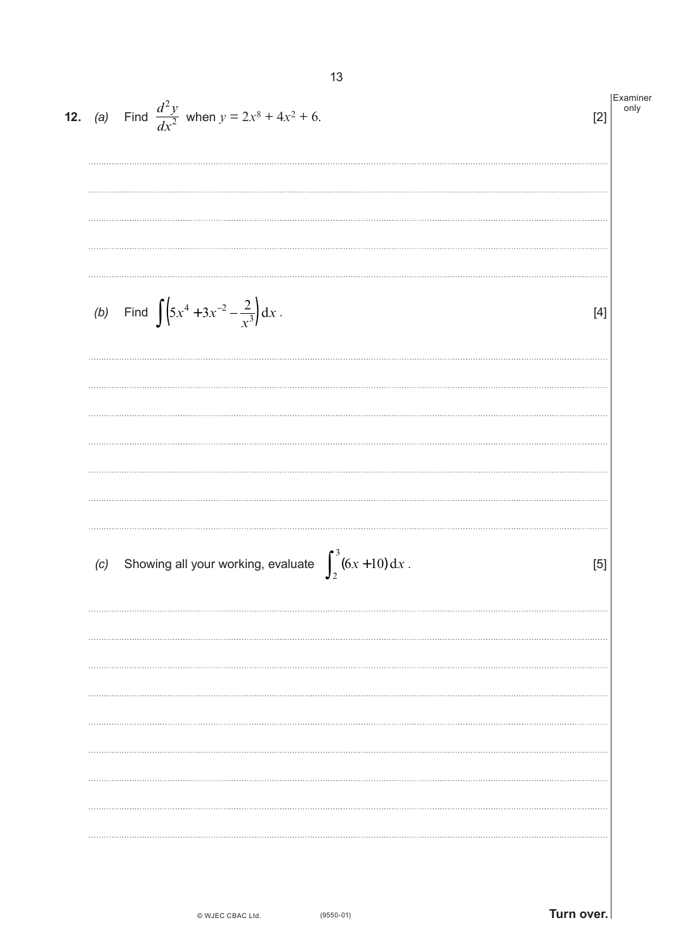|     | <b>12.</b> (a) Find $\frac{d^2y}{dx^2}$ when $y = 2x^8 + 4x^2 + 6$ . | Examiner<br>only<br>[2] |
|-----|----------------------------------------------------------------------|-------------------------|
|     |                                                                      |                         |
|     | (b) Find $\int (5x^4 + 3x^{-2} - \frac{2}{x^3}) dx$ .                | $[4]$                   |
|     |                                                                      |                         |
| (c) | Showing all your working, evaluate $\int_{2}^{3} (6x+10) dx$ .       | [5]                     |
|     |                                                                      |                         |
|     |                                                                      |                         |
|     |                                                                      |                         |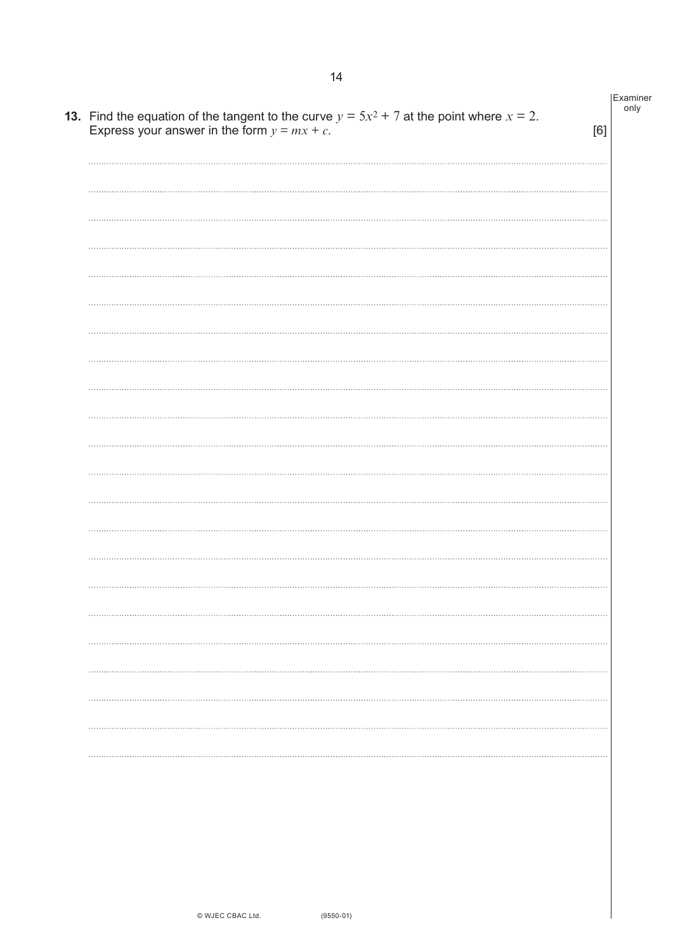| <b>13.</b> Find the equation of the tangent to the curve $y = 5x^2 + 7$ at the point where $x = 2$ .<br>Express your answer in the form $y = mx + c$ . | [6] |
|--------------------------------------------------------------------------------------------------------------------------------------------------------|-----|
|                                                                                                                                                        |     |
|                                                                                                                                                        |     |
|                                                                                                                                                        |     |
|                                                                                                                                                        |     |
|                                                                                                                                                        |     |
|                                                                                                                                                        |     |
|                                                                                                                                                        |     |
|                                                                                                                                                        |     |
|                                                                                                                                                        |     |
|                                                                                                                                                        |     |
|                                                                                                                                                        |     |
|                                                                                                                                                        |     |
|                                                                                                                                                        |     |
|                                                                                                                                                        |     |
|                                                                                                                                                        |     |
|                                                                                                                                                        |     |
|                                                                                                                                                        |     |
|                                                                                                                                                        |     |
|                                                                                                                                                        |     |
|                                                                                                                                                        |     |
|                                                                                                                                                        |     |
|                                                                                                                                                        |     |
|                                                                                                                                                        |     |
|                                                                                                                                                        |     |
|                                                                                                                                                        |     |

Examiner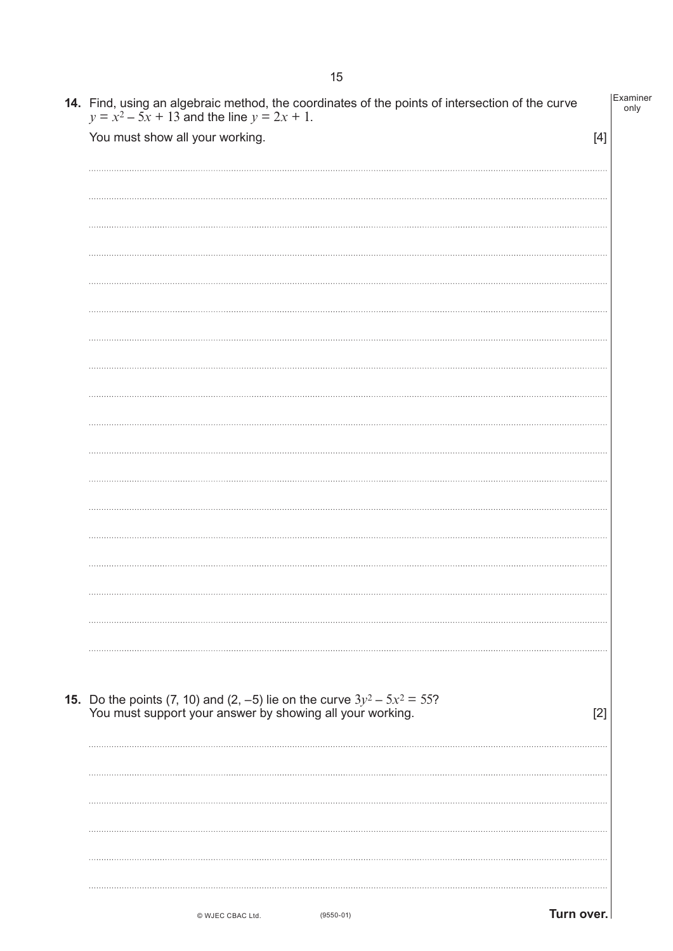| <b>14.</b> Find, using an algebraic method, the coordinates of the points of intersection of the curve $y = x^2 - 5x + 13$ and the line $y = 2x + 1$ . | Examiner<br>only |
|--------------------------------------------------------------------------------------------------------------------------------------------------------|------------------|
| You must show all your working.                                                                                                                        | $[4]$            |
|                                                                                                                                                        |                  |
|                                                                                                                                                        |                  |
|                                                                                                                                                        |                  |
|                                                                                                                                                        |                  |
|                                                                                                                                                        |                  |
|                                                                                                                                                        |                  |
|                                                                                                                                                        |                  |
|                                                                                                                                                        |                  |
|                                                                                                                                                        |                  |
|                                                                                                                                                        |                  |
|                                                                                                                                                        |                  |
|                                                                                                                                                        |                  |
|                                                                                                                                                        |                  |
|                                                                                                                                                        |                  |
|                                                                                                                                                        |                  |
|                                                                                                                                                        |                  |
| <b>15.</b> Do the points (7, 10) and (2, -5) lie on the curve $3y^2 - 5x^2 = 55$ ?<br>You must support your answer by showing all your working.        | [2]              |
|                                                                                                                                                        |                  |
|                                                                                                                                                        |                  |
|                                                                                                                                                        |                  |
|                                                                                                                                                        |                  |
|                                                                                                                                                        |                  |
| Turn over.<br>© WJEC CBAC Ltd.<br>$(9550-01)$                                                                                                          |                  |